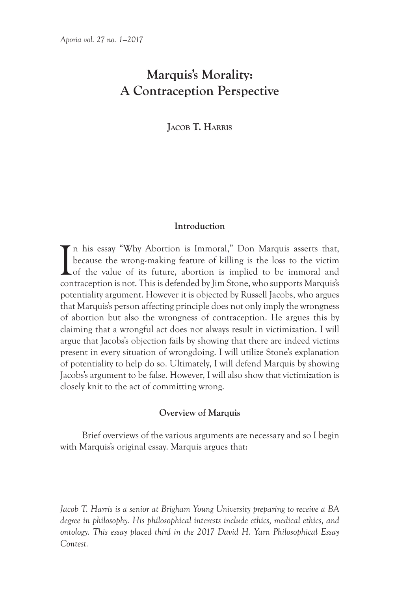# **Marquis's Morality: A Contraception Perspective**

**Jacob T. Harris**

# **Introduction**

I n his essay "Why Abortion is Immoral," Don Marquis asserts that, because the wrong-making feature of killing is the loss to the victim of the value of its future, abortion is implied to be immoral and contraception is not. This is defended by Jim Stone, who supports Marquis's potentiality argument. However it is objected by Russell Jacobs, who argues that Marquis's person affecting principle does not only imply the wrongness of abortion but also the wrongness of contraception. He argues this by claiming that a wrongful act does not always result in victimization. I will argue that Jacobs's objection fails by showing that there are indeed victims present in every situation of wrongdoing. I will utilize Stone's explanation of potentiality to help do so. Ultimately, I will defend Marquis by showing Jacobs's argument to be false. However, I will also show that victimization is closely knit to the act of committing wrong.

## **Overview of Marquis**

Brief overviews of the various arguments are necessary and so I begin with Marquis's original essay. Marquis argues that:

*Jacob T. Harris is a senior at Brigham Young University preparing to receive a BA degree in philosophy. His philosophical interests include ethics, medical ethics, and ontology. This essay placed third in the 2017 David H. Yarn Philosophical Essay Contest.*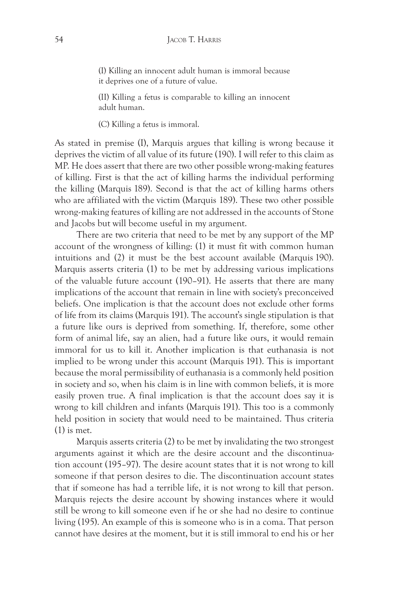(I) Killing an innocent adult human is immoral because it deprives one of a future of value.

(II) Killing a fetus is comparable to killing an innocent adult human.

(C) Killing a fetus is immoral.

As stated in premise (I), Marquis argues that killing is wrong because it deprives the victim of all value of its future (190). I will refer to this claim as MP. He does assert that there are two other possible wrong-making features of killing. First is that the act of killing harms the individual performing the killing (Marquis 189). Second is that the act of killing harms others who are affiliated with the victim (Marquis 189). These two other possible wrong-making features of killing are not addressed in the accounts of Stone and Jacobs but will become useful in my argument.

There are two criteria that need to be met by any support of the MP account of the wrongness of killing: (1) it must fit with common human intuitions and (2) it must be the best account available (Marquis 190). Marquis asserts criteria (1) to be met by addressing various implications of the valuable future account (190–91). He asserts that there are many implications of the account that remain in line with society's preconceived beliefs. One implication is that the account does not exclude other forms of life from its claims (Marquis 191). The account's single stipulation is that a future like ours is deprived from something. If, therefore, some other form of animal life, say an alien, had a future like ours, it would remain immoral for us to kill it. Another implication is that euthanasia is not implied to be wrong under this account (Marquis 191). This is important because the moral permissibility of euthanasia is a commonly held position in society and so, when his claim is in line with common beliefs, it is more easily proven true. A final implication is that the account does say it is wrong to kill children and infants (Marquis 191). This too is a commonly held position in society that would need to be maintained. Thus criteria (1) is met.

Marquis asserts criteria (2) to be met by invalidating the two strongest arguments against it which are the desire account and the discontinuation account (195–97). The desire acount states that it is not wrong to kill someone if that person desires to die. The discontinuation account states that if someone has had a terrible life, it is not wrong to kill that person. Marquis rejects the desire account by showing instances where it would still be wrong to kill someone even if he or she had no desire to continue living (195). An example of this is someone who is in a coma. That person cannot have desires at the moment, but it is still immoral to end his or her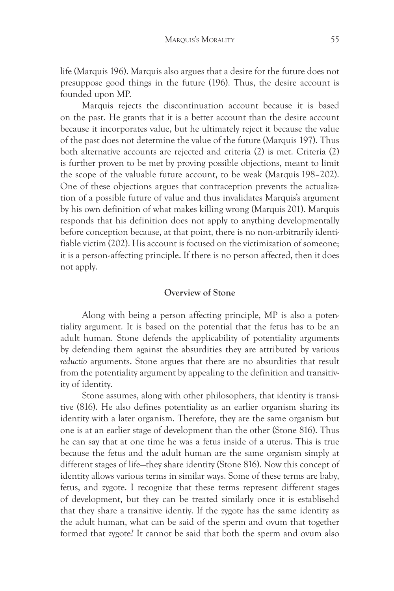life (Marquis 196). Marquis also argues that a desire for the future does not presuppose good things in the future (196). Thus, the desire account is founded upon MP.

Marquis rejects the discontinuation account because it is based on the past. He grants that it is a better account than the desire account because it incorporates value, but he ultimately reject it because the value of the past does not determine the value of the future (Marquis 197). Thus both alternative accounts are rejected and criteria (2) is met. Criteria (2) is further proven to be met by proving possible objections, meant to limit the scope of the valuable future account, to be weak (Marquis 198–202). One of these objections argues that contraception prevents the actualization of a possible future of value and thus invalidates Marquis's argument by his own definition of what makes killing wrong (Marquis 201). Marquis responds that his definition does not apply to anything developmentally before conception because, at that point, there is no non-arbitrarily identifiable victim (202). His account is focused on the victimization of someone; it is a person-affecting principle. If there is no person affected, then it does not apply.

# **Overview of Stone**

Along with being a person affecting principle, MP is also a potentiality argument. It is based on the potential that the fetus has to be an adult human. Stone defends the applicability of potentiality arguments by defending them against the absurdities they are attributed by various *reductio* arguments. Stone argues that there are no absurdities that result from the potentiality argument by appealing to the definition and transitivity of identity.

Stone assumes, along with other philosophers, that identity is transitive (816). He also defines potentiality as an earlier organism sharing its identity with a later organism. Therefore, they are the same organism but one is at an earlier stage of development than the other (Stone 816). Thus he can say that at one time he was a fetus inside of a uterus. This is true because the fetus and the adult human are the same organism simply at different stages of life—they share identity (Stone 816). Now this concept of identity allows various terms in similar ways. Some of these terms are baby, fetus, and zygote. I recognize that these terms represent different stages of development, but they can be treated similarly once it is establisehd that they share a transitive identiy. If the zygote has the same identity as the adult human, what can be said of the sperm and ovum that together formed that zygote? It cannot be said that both the sperm and ovum also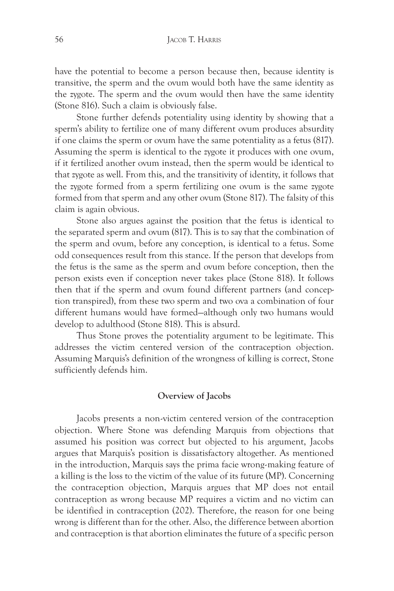have the potential to become a person because then, because identity is transitive, the sperm and the ovum would both have the same identity as the zygote. The sperm and the ovum would then have the same identity (Stone 816). Such a claim is obviously false.

Stone further defends potentiality using identity by showing that a sperm's ability to fertilize one of many different ovum produces absurdity if one claims the sperm or ovum have the same potentiality as a fetus (817). Assuming the sperm is identical to the zygote it produces with one ovum, if it fertilized another ovum instead, then the sperm would be identical to that zygote as well. From this, and the transitivity of identity, it follows that the zygote formed from a sperm fertilizing one ovum is the same zygote formed from that sperm and any other ovum (Stone 817). The falsity of this claim is again obvious.

Stone also argues against the position that the fetus is identical to the separated sperm and ovum (817). This is to say that the combination of the sperm and ovum, before any conception, is identical to a fetus. Some odd consequences result from this stance. If the person that develops from the fetus is the same as the sperm and ovum before conception, then the person exists even if conception never takes place (Stone 818). It follows then that if the sperm and ovum found different partners (and conception transpired), from these two sperm and two ova a combination of four different humans would have formed—although only two humans would develop to adulthood (Stone 818). This is absurd.

Thus Stone proves the potentiality argument to be legitimate. This addresses the victim centered version of the contraception objection. Assuming Marquis's definition of the wrongness of killing is correct, Stone sufficiently defends him.

# **Overview of Jacobs**

Jacobs presents a non-victim centered version of the contraception objection. Where Stone was defending Marquis from objections that assumed his position was correct but objected to his argument, Jacobs argues that Marquis's position is dissatisfactory altogether. As mentioned in the introduction, Marquis says the prima facie wrong-making feature of a killing is the loss to the victim of the value of its future (MP). Concerning the contraception objection, Marquis argues that MP does not entail contraception as wrong because MP requires a victim and no victim can be identified in contraception (202). Therefore, the reason for one being wrong is different than for the other. Also, the difference between abortion and contraception is that abortion eliminates the future of a specific person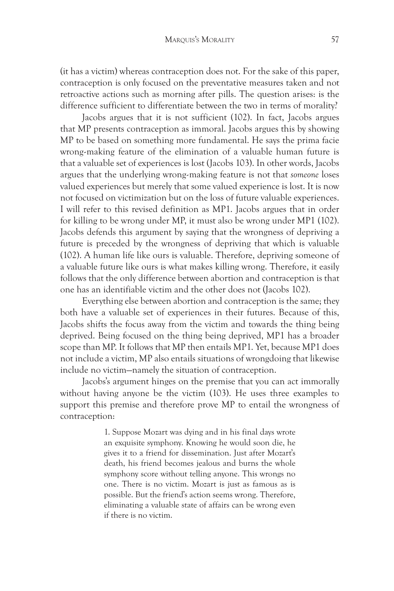(it has a victim) whereas contraception does not. For the sake of this paper, contraception is only focused on the preventative measures taken and not retroactive actions such as morning after pills. The question arises: is the difference sufficient to differentiate between the two in terms of morality?

Jacobs argues that it is not sufficient (102). In fact, Jacobs argues that MP presents contraception as immoral. Jacobs argues this by showing MP to be based on something more fundamental. He says the prima facie wrong-making feature of the elimination of a valuable human future is that a valuable set of experiences is lost (Jacobs 103). In other words, Jacobs argues that the underlying wrong-making feature is not that *someone* loses valued experiences but merely that some valued experience is lost. It is now not focused on victimization but on the loss of future valuable experiences. I will refer to this revised definition as MP1. Jacobs argues that in order for killing to be wrong under MP, it must also be wrong under MP1 (102). Jacobs defends this argument by saying that the wrongness of depriving a future is preceded by the wrongness of depriving that which is valuable (102). A human life like ours is valuable. Therefore, depriving someone of a valuable future like ours is what makes killing wrong. Therefore, it easily follows that the only difference between abortion and contraception is that one has an identifiable victim and the other does not (Jacobs 102).

Everything else between abortion and contraception is the same; they both have a valuable set of experiences in their futures. Because of this, Jacobs shifts the focus away from the victim and towards the thing being deprived. Being focused on the thing being deprived, MP1 has a broader scope than MP. It follows that MP then entails MP1. Yet, because MP1 does not include a victim, MP also entails situations of wrongdoing that likewise include no victim—namely the situation of contraception.

Jacobs's argument hinges on the premise that you can act immorally without having anyone be the victim (103). He uses three examples to support this premise and therefore prove MP to entail the wrongness of contraception:

> 1. Suppose Mozart was dying and in his final days wrote an exquisite symphony. Knowing he would soon die, he gives it to a friend for dissemination. Just after Mozart's death, his friend becomes jealous and burns the whole symphony score without telling anyone. This wrongs no one. There is no victim. Mozart is just as famous as is possible. But the friend's action seems wrong. Therefore, eliminating a valuable state of affairs can be wrong even if there is no victim.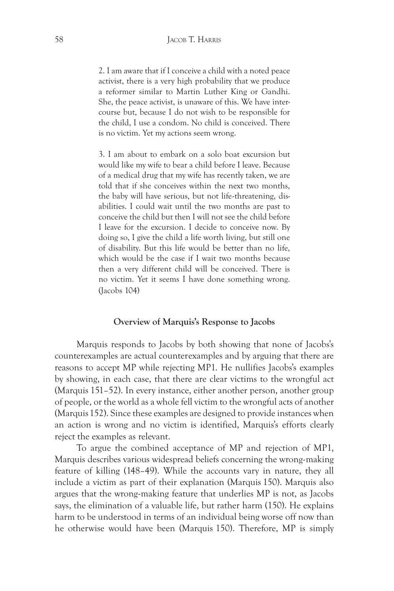2. I am aware that if I conceive a child with a noted peace activist, there is a very high probability that we produce a reformer similar to Martin Luther King or Gandhi. She, the peace activist, is unaware of this. We have intercourse but, because I do not wish to be responsible for the child, I use a condom. No child is conceived. There is no victim. Yet my actions seem wrong.

3. I am about to embark on a solo boat excursion but would like my wife to bear a child before I leave. Because of a medical drug that my wife has recently taken, we are told that if she conceives within the next two months, the baby will have serious, but not life-threatening, disabilities. I could wait until the two months are past to conceive the child but then I will not see the child before I leave for the excursion. I decide to conceive now. By doing so, I give the child a life worth living, but still one of disability. But this life would be better than no life, which would be the case if I wait two months because then a very different child will be conceived. There is no victim. Yet it seems I have done something wrong. (Jacobs 104)

#### **Overview of Marquis's Response to Jacobs**

Marquis responds to Jacobs by both showing that none of Jacobs's counterexamples are actual counterexamples and by arguing that there are reasons to accept MP while rejecting MP1. He nullifies Jacobs's examples by showing, in each case, that there are clear victims to the wrongful act (Marquis 151–52). In every instance, either another person, another group of people, or the world as a whole fell victim to the wrongful acts of another (Marquis 152). Since these examples are designed to provide instances when an action is wrong and no victim is identified, Marquis's efforts clearly reject the examples as relevant.

To argue the combined acceptance of MP and rejection of MP1, Marquis describes various widespread beliefs concerning the wrong-making feature of killing (148–49). While the accounts vary in nature, they all include a victim as part of their explanation (Marquis 150). Marquis also argues that the wrong-making feature that underlies MP is not, as Jacobs says, the elimination of a valuable life, but rather harm (150). He explains harm to be understood in terms of an individual being worse off now than he otherwise would have been (Marquis 150). Therefore, MP is simply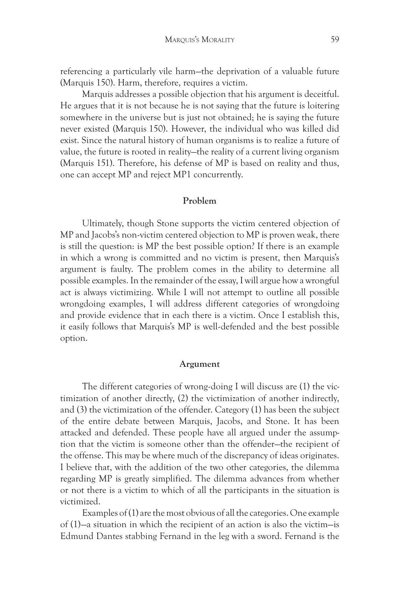referencing a particularly vile harm—the deprivation of a valuable future (Marquis 150). Harm, therefore, requires a victim.

Marquis addresses a possible objection that his argument is deceitful. He argues that it is not because he is not saying that the future is loitering somewhere in the universe but is just not obtained; he is saying the future never existed (Marquis 150). However, the individual who was killed did exist. Since the natural history of human organisms is to realize a future of value, the future is rooted in reality—the reality of a current living organism (Marquis 151). Therefore, his defense of MP is based on reality and thus, one can accept MP and reject MP1 concurrently.

# **Problem**

Ultimately, though Stone supports the victim centered objection of MP and Jacobs's non-victim centered objection to MP is proven weak, there is still the question: is MP the best possible option? If there is an example in which a wrong is committed and no victim is present, then Marquis's argument is faulty. The problem comes in the ability to determine all possible examples. In the remainder of the essay, I will argue how a wrongful act is always victimizing. While I will not attempt to outline all possible wrongdoing examples, I will address different categories of wrongdoing and provide evidence that in each there is a victim. Once I establish this, it easily follows that Marquis's MP is well-defended and the best possible option.

### **Argument**

The different categories of wrong-doing I will discuss are (1) the victimization of another directly, (2) the victimization of another indirectly, and (3) the victimization of the offender. Category (1) has been the subject of the entire debate between Marquis, Jacobs, and Stone. It has been attacked and defended. These people have all argued under the assumption that the victim is someone other than the offender—the recipient of the offense. This may be where much of the discrepancy of ideas originates. I believe that, with the addition of the two other categories, the dilemma regarding MP is greatly simplified. The dilemma advances from whether or not there is a victim to which of all the participants in the situation is victimized.

Examples of (1) are the most obvious of all the categories. One example of (1)—a situation in which the recipient of an action is also the victim—is Edmund Dantes stabbing Fernand in the leg with a sword. Fernand is the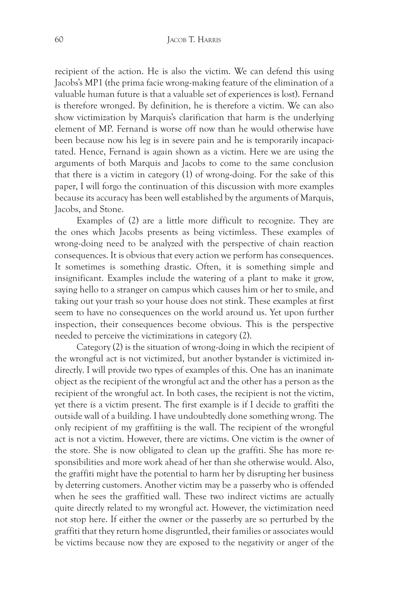recipient of the action. He is also the victim. We can defend this using Jacobs's MP1 (the prima facie wrong-making feature of the elimination of a valuable human future is that a valuable set of experiences is lost). Fernand is therefore wronged. By definition, he is therefore a victim. We can also show victimization by Marquis's clarification that harm is the underlying element of MP. Fernand is worse off now than he would otherwise have been because now his leg is in severe pain and he is temporarily incapacitated. Hence, Fernand is again shown as a victim. Here we are using the arguments of both Marquis and Jacobs to come to the same conclusion that there is a victim in category (1) of wrong-doing. For the sake of this paper, I will forgo the continuation of this discussion with more examples because its accuracy has been well established by the arguments of Marquis, Jacobs, and Stone.

Examples of (2) are a little more difficult to recognize. They are the ones which Jacobs presents as being victimless. These examples of wrong-doing need to be analyzed with the perspective of chain reaction consequences. It is obvious that every action we perform has consequences. It sometimes is something drastic. Often, it is something simple and insignificant. Examples include the watering of a plant to make it grow, saying hello to a stranger on campus which causes him or her to smile, and taking out your trash so your house does not stink. These examples at first seem to have no consequences on the world around us. Yet upon further inspection, their consequences become obvious. This is the perspective needed to perceive the victimizations in category (2).

Category (2) is the situation of wrong-doing in which the recipient of the wrongful act is not victimized, but another bystander is victimized indirectly. I will provide two types of examples of this. One has an inanimate object as the recipient of the wrongful act and the other has a person as the recipient of the wrongful act. In both cases, the recipient is not the victim, yet there is a victim present. The first example is if I decide to graffiti the outside wall of a building. I have undoubtedly done something wrong. The only recipient of my graffitiing is the wall. The recipient of the wrongful act is not a victim. However, there are victims. One victim is the owner of the store. She is now obligated to clean up the graffiti. She has more responsibilities and more work ahead of her than she otherwise would. Also, the graffiti might have the potential to harm her by disrupting her business by deterring customers. Another victim may be a passerby who is offended when he sees the graffitied wall. These two indirect victims are actually quite directly related to my wrongful act. However, the victimization need not stop here. If either the owner or the passerby are so perturbed by the graffiti that they return home disgruntled, their families or associates would be victims because now they are exposed to the negativity or anger of the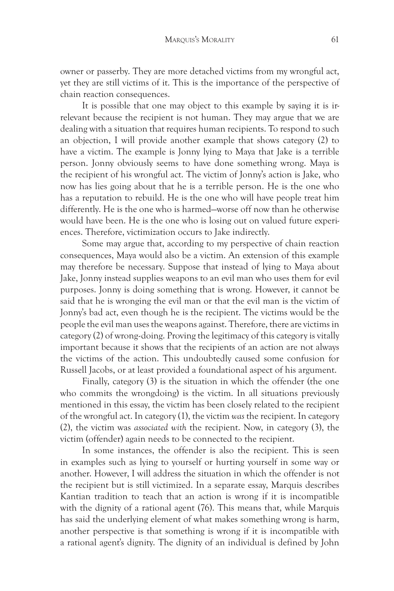owner or passerby. They are more detached victims from my wrongful act, yet they are still victims of it. This is the importance of the perspective of chain reaction consequences.

It is possible that one may object to this example by saying it is irrelevant because the recipient is not human. They may argue that we are dealing with a situation that requires human recipients. To respond to such an objection, I will provide another example that shows category (2) to have a victim. The example is Jonny lying to Maya that Jake is a terrible person. Jonny obviously seems to have done something wrong. Maya is the recipient of his wrongful act. The victim of Jonny's action is Jake, who now has lies going about that he is a terrible person. He is the one who has a reputation to rebuild. He is the one who will have people treat him differently. He is the one who is harmed—worse off now than he otherwise would have been. He is the one who is losing out on valued future experiences. Therefore, victimization occurs to Jake indirectly.

Some may argue that, according to my perspective of chain reaction consequences, Maya would also be a victim. An extension of this example may therefore be necessary. Suppose that instead of lying to Maya about Jake, Jonny instead supplies weapons to an evil man who uses them for evil purposes. Jonny is doing something that is wrong. However, it cannot be said that he is wronging the evil man or that the evil man is the victim of Jonny's bad act, even though he is the recipient. The victims would be the people the evil man uses the weapons against. Therefore, there are victims in category (2) of wrong-doing. Proving the legitimacy of this category is vitally important because it shows that the recipients of an action are not always the victims of the action. This undoubtedly caused some confusion for Russell Jacobs, or at least provided a foundational aspect of his argument.

Finally, category (3) is the situation in which the offender (the one who commits the wrongdoing) is the victim. In all situations previously mentioned in this essay, the victim has been closely related to the recipient of the wrongful act. In category (1), the victim *was* the recipient. In category (2), the victim was *associated with* the recipient. Now, in category (3), the victim (offender) again needs to be connected to the recipient.

In some instances, the offender is also the recipient. This is seen in examples such as lying to yourself or hurting yourself in some way or another. However, I will address the situation in which the offender is not the recipient but is still victimized. In a separate essay, Marquis describes Kantian tradition to teach that an action is wrong if it is incompatible with the dignity of a rational agent (76). This means that, while Marquis has said the underlying element of what makes something wrong is harm, another perspective is that something is wrong if it is incompatible with a rational agent's dignity. The dignity of an individual is defined by John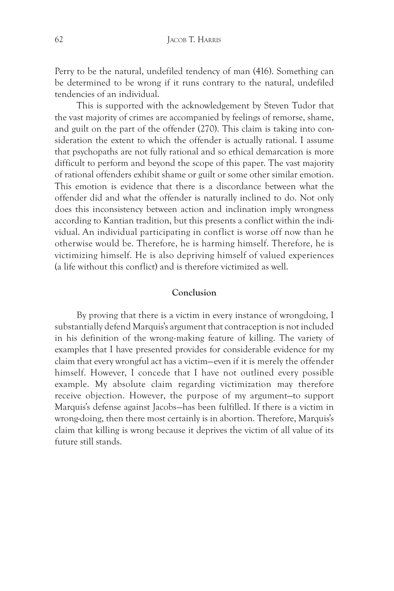Perry to be the natural, undefiled tendency of man (416). Something can be determined to be wrong if it runs contrary to the natural, undefiled tendencies of an individual.

This is supported with the acknowledgement by Steven Tudor that the vast majority of crimes are accompanied by feelings of remorse, shame, and guilt on the part of the offender (270). This claim is taking into consideration the extent to which the offender is actually rational. I assume that psychopaths are not fully rational and so ethical demarcation is more difficult to perform and beyond the scope of this paper. The vast majority of rational offenders exhibit shame or guilt or some other similar emotion. This emotion is evidence that there is a discordance between what the offender did and what the offender is naturally inclined to do. Not only does this inconsistency between action and inclination imply wrongness according to Kantian tradition, but this presents a conflict within the individual. An individual participating in conflict is worse off now than he otherwise would be. Therefore, he is harming himself. Therefore, he is victimizing himself. He is also depriving himself of valued experiences (a life without this conflict) and is therefore victimized as well.

# **Conclusion**

By proving that there is a victim in every instance of wrongdoing, I substantially defend Marquis's argument that contraception is not included in his definition of the wrong-making feature of killing. The variety of examples that I have presented provides for considerable evidence for my claim that every wrongful act has a victim—even if it is merely the offender himself. However, I concede that I have not outlined every possible example. My absolute claim regarding victimization may therefore receive objection. However, the purpose of my argument—to support Marquis's defense against Jacobs—has been fulfilled. If there is a victim in wrong-doing, then there most certainly is in abortion. Therefore, Marquis's claim that killing is wrong because it deprives the victim of all value of its future still stands.